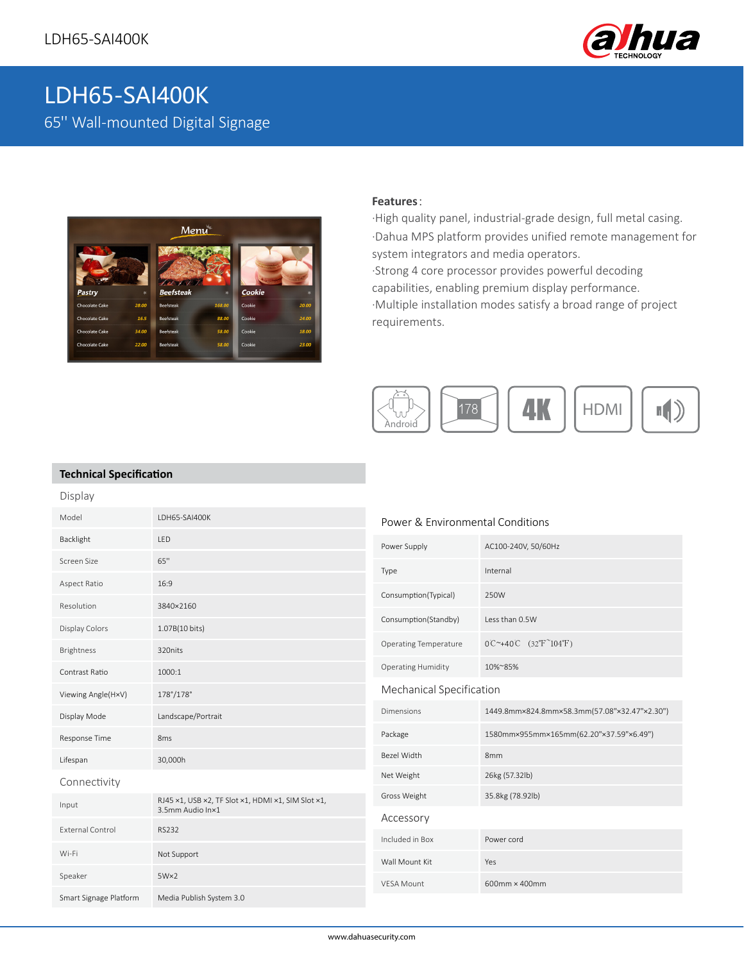

# LDH65-SAI400K 65'' Wall-mounted Digital Signage



#### **Features**:

·High quality panel, industrial-grade design, full metal casing. ·Dahua MPS platform provides unified remote management for system integrators and media operators. ·Strong 4 core processor provides powerful decoding capabilities, enabling premium display performance. ·Multiple installation modes satisfy a broad range of project requirements.



### **Technical Specification**

| Display                 |                                                                        |                                  |                                                           |
|-------------------------|------------------------------------------------------------------------|----------------------------------|-----------------------------------------------------------|
| Model                   | LDH65-SAI400K                                                          | Power & Environmental Conditions |                                                           |
| Backlight               | LED                                                                    | Power Supply                     | AC100-240V, 50/60Hz                                       |
| Screen Size             | 65"                                                                    | Type                             | Internal                                                  |
| Aspect Ratio            | 16:9                                                                   |                                  |                                                           |
| Resolution              | 3840×2160                                                              | Consumption(Typical)             | 250W                                                      |
| Display Colors          | 1.07B(10 bits)                                                         | Consumption(Standby)             | Less than 0.5W                                            |
| Brightness              | 320nits                                                                | <b>Operating Temperature</b>     | $0C^{\sim}+40C$ (32°F <sup><math>\sim</math></sup> 104°F) |
| Contrast Ratio          | 1000:1                                                                 | <b>Operating Humidity</b>        | 10%~85%                                                   |
| Viewing Angle(H×V)      | 178°/178°                                                              | Mechanical Specification         |                                                           |
| Display Mode            | Landscape/Portrait                                                     | <b>Dimensions</b>                | 1449.8mm×824.8mm×58.3mm(57.08"×32.47"×2.30")              |
| Response Time           | 8 <sub>ms</sub>                                                        | Package                          | 1580mm×955mm×165mm(62.20"×37.59"×6.49")                   |
| Lifespan                | 30,000h                                                                | Bezel Width                      | 8 <sub>mm</sub>                                           |
| Connectivity            |                                                                        | Net Weight                       | 26kg (57.32lb)                                            |
| Input                   | RJ45 x1, USB x2, TF Slot x1, HDMI x1, SIM Slot x1,<br>3.5mm Audio In×1 | Gross Weight                     | 35.8kg (78.92lb)                                          |
| <b>External Control</b> | <b>RS232</b>                                                           | Accessory                        |                                                           |
|                         |                                                                        | Included in Box                  | Power cord                                                |
| Wi-Fi                   | Not Support                                                            | Wall Mount Kit                   | Yes                                                       |
| Speaker                 | $5W \times 2$                                                          | <b>VESA Mount</b>                | 600mm × 400mm                                             |
| Smart Signage Platform  | Media Publish System 3.0                                               |                                  |                                                           |